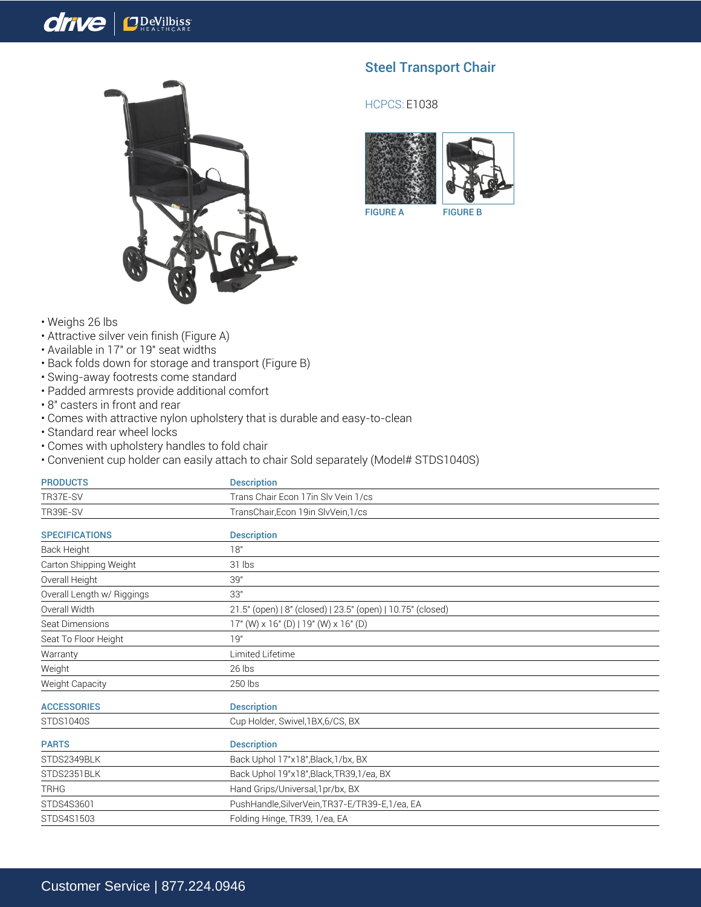## drive **OD**eVilbiss



## Steel Transport Chair

## HCPCS: E1038



FIGURE A FIGURE B

- Weighs 26 lbs
- Attractive silver vein finish (Figure A)
- Available in 17" or 19" seat widths
- Back folds down for storage and transport (Figure B)
- Swing-away footrests come standard
- Padded armrests provide additional comfort
- 8" casters in front and rear
- Comes with attractive nylon upholstery that is durable and easy-to-clean
- Standard rear wheel locks
- Comes with upholstery handles to fold chair
- Convenient cup holder can easily attach to chair Sold separately (Model# STDS1040S)

| <b>PRODUCTS</b>            | <b>Description</b>                                          |
|----------------------------|-------------------------------------------------------------|
| TR37E-SV                   | Trans Chair Econ 17in Sly Vein 1/cs                         |
| TR39E-SV                   | TransChair, Econ 19in SlvVein, 1/cs                         |
| <b>SPECIFICATIONS</b>      | <b>Description</b>                                          |
| Back Height                | 18"                                                         |
| Carton Shipping Weight     | 31 lbs                                                      |
| Overall Height             | 39"                                                         |
| Overall Length w/ Riggings | 33"                                                         |
| Overall Width              | 21.5" (open)   8" (closed)   23.5" (open)   10.75" (closed) |
| Seat Dimensions            | $17"$ (W) x 16" (D)   19" (W) x 16" (D)                     |
| Seat To Floor Height       | 19"                                                         |
| Warranty                   | Limited Lifetime                                            |
| Weight                     | 26 lbs                                                      |
| Weight Capacity            | 250 lbs                                                     |
| <b>ACCESSORIES</b>         | <b>Description</b>                                          |
| <b>STDS1040S</b>           | Cup Holder, Swivel, 1BX, 6/CS, BX                           |
| <b>PARTS</b>               | <b>Description</b>                                          |
| STDS2349BLK                | Back Uphol 17"x18", Black, 1/bx, BX                         |
| STDS2351BLK                | Back Uphol 19"x18", Black, TR39, 1/ea, BX                   |
| <b>TRHG</b>                | Hand Grips/Universal, 1pr/bx, BX                            |
| STDS4S3601                 | PushHandle, SilverVein, TR37-E/TR39-E, 1/ea, EA             |
| STDS4S1503                 | Folding Hinge, TR39, 1/ea, EA                               |
|                            |                                                             |